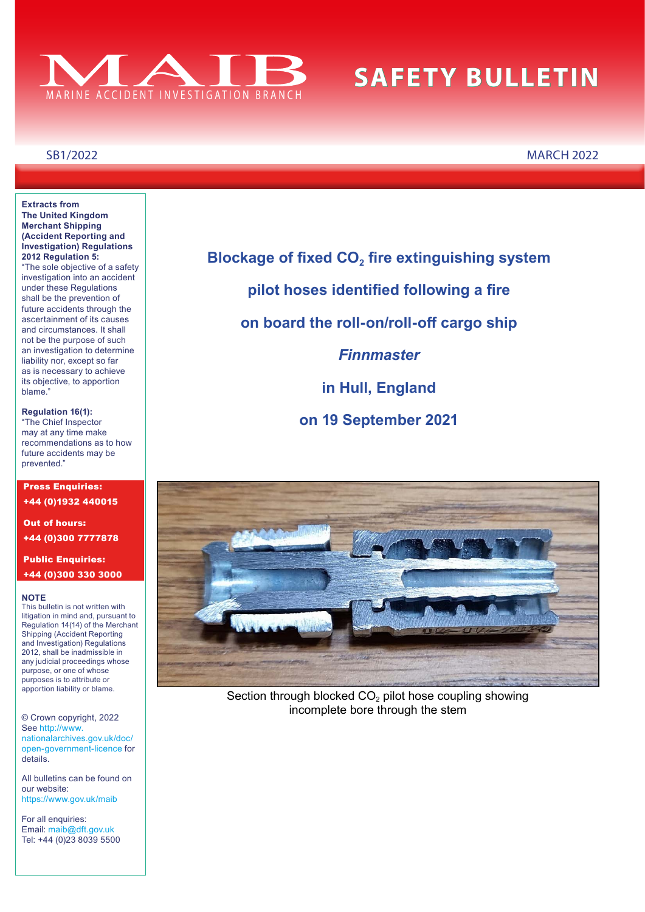

# **SAFETY BULLETIN**

#### **Extracts from The United Kingdom Merchant Shipping (Accident Reporting and Investigation) Regulations 2012 Regulation 5:**

"The sole objective of a safety investigation into an accident under these Regulations shall be the prevention of future accidents through the ascertainment of its causes and circumstances. It shall not be the purpose of such an investigation to determine liability nor, except so far as is necessary to achieve its objective, to apportion blame."

#### **Regulation 16(1):** "The Chief Inspector may at any time make recommendations as to how future accidents may be prevented."

Press Enquiries: +44 (0)1932 440015 Out of hours:

+44 (0)300 7777878

#### Public Enquiries: +44 (0)300 330 3000

#### **NOTE**

This bulletin is not written with litigation in mind and, pursuant to Regulation 14(14) of the Merchant Shipping (Accident Reporting and Investigation) Regulations 2012, shall be inadmissible in any judicial proceedings whose purpose, or one of whose purposes is to attribute or apportion liability or blame.

© Crown copyright, 2022 See [http://www.](http://www.nationalarchives.gov.uk/doc/open-government-licence/) [nationalarchives.gov.uk/doc/](http://www.nationalarchives.gov.uk/doc/open-government-licence/) [open-government-licence](http://www.nationalarchives.gov.uk/doc/open-government-licence/) for details.

All bulletins can be found on our website: [https://www.gov.uk/maib](http://www.gov.uk/maib)

For all enquiries: Email: [maib@dft.gov.uk](mailto:maib%40dft.gov.uk?subject=) Tel: +44 (0)23 8039 5500 **Blockage of fixed CO<sub>2</sub> fire extinguishing system pilot hoses identifed following a fre on board the roll-on/roll-of cargo ship** *Finnmaster* **in Hull, England on 19 September 2021**



Section through blocked CO<sub>2</sub> pilot hose coupling showing incomplete bore through the stem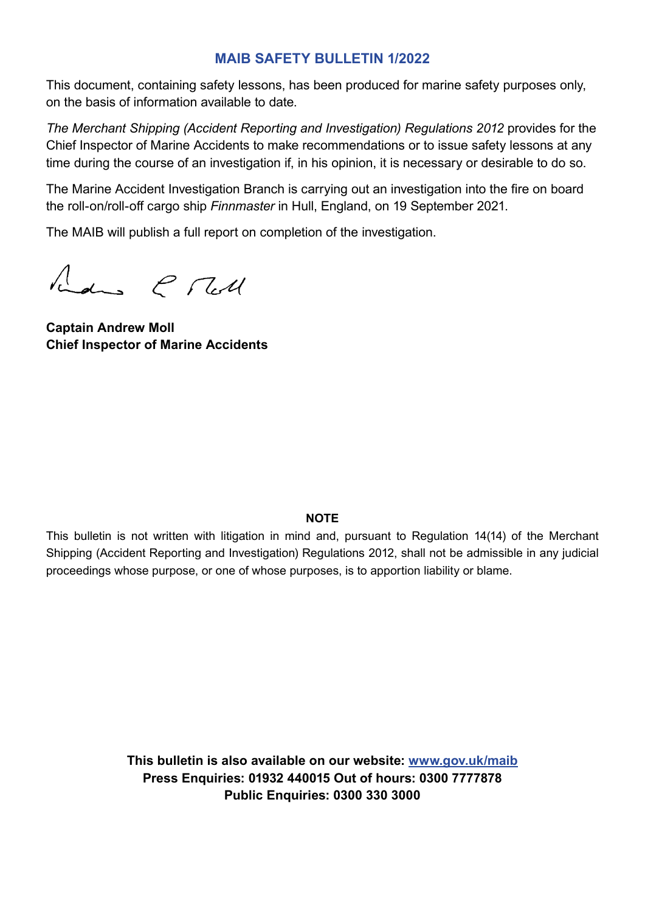#### **MAIB SAFETY BULLETIN 1/2022**

This document, containing safety lessons, has been produced for marine safety purposes only, on the basis of information available to date.

*The Merchant Shipping (Accident Reporting and Investigation) Regulations 2012* provides for the Chief Inspector of Marine Accidents to make recommendations or to issue safety lessons at any time during the course of an investigation if, in his opinion, it is necessary or desirable to do so.

The Marine Accident Investigation Branch is carrying out an investigation into the fre on board the roll-on/roll-of cargo ship *Finnmaster* in Hull, England, on 19 September 2021.

The MAIB will publish a full report on completion of the investigation.

Redus & Tell

**Captain Andrew Moll Chief Inspector of Marine Accidents**

#### **NOTE**

This bulletin is not written with litigation in mind and, pursuant to Regulation 14(14) of the Merchant Shipping (Accident Reporting and Investigation) Regulations 2012, shall not be admissible in any judicial proceedings whose purpose, or one of whose purposes, is to apportion liability or blame.

> **This bulletin is also available on our website: [www.gov.uk/maib](http://www.gov.uk/maib) Press Enquiries: 01932 440015 Out of hours: 0300 7777878 Public Enquiries: 0300 330 3000**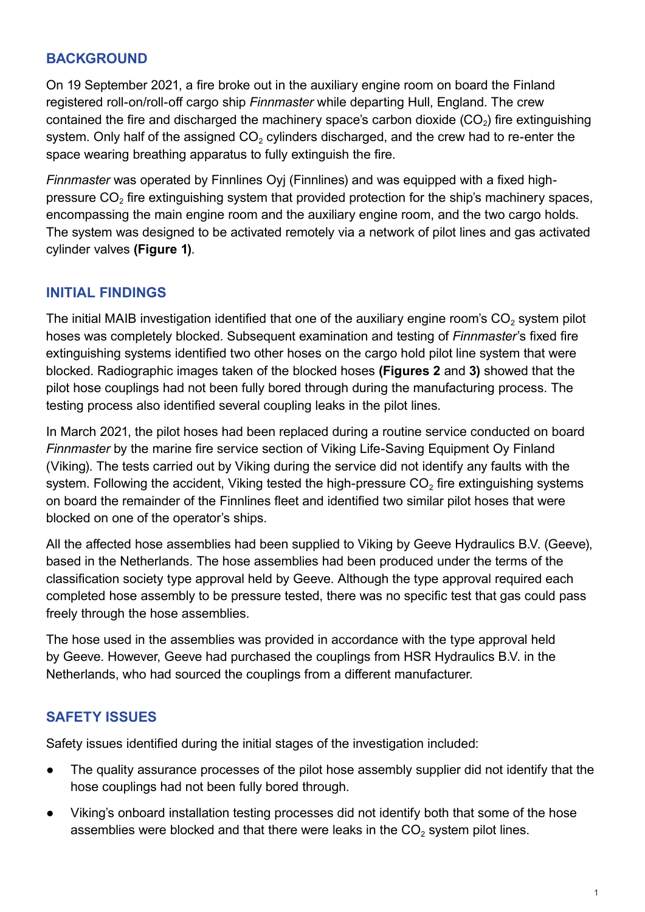### **BACKGROUND**

On 19 September 2021, a fre broke out in the auxiliary engine room on board the Finland registered roll-on/roll-of cargo ship *Finnmaster* while departing Hull, England. The crew contained the fire and discharged the machinery space's carbon dioxide  $(CO<sub>2</sub>)$  fire extinguishing system. Only half of the assigned  $CO<sub>2</sub>$  cylinders discharged, and the crew had to re-enter the space wearing breathing apparatus to fully extinguish the fire.

*Finnmaster* was operated by Finnlines Oyj (Finnlines) and was equipped with a fixed highpressure  $CO<sub>2</sub>$  fire extinguishing system that provided protection for the ship's machinery spaces, encompassing the main engine room and the auxiliary engine room, and the two cargo holds. The system was designed to be activated remotely via a network of pilot lines and gas activated cylinder valves **(Figure 1)**.

# **INITIAL FINDINGS**

The initial MAIB investigation identified that one of the auxiliary engine room's  $CO<sub>2</sub>$  system pilot hoses was completely blocked. Subsequent examination and testing of *Finnmaster's* fixed fire extinguishing systems identifed two other hoses on the cargo hold pilot line system that were blocked. Radiographic images taken of the blocked hoses **(Figures 2** and **3)** showed that the pilot hose couplings had not been fully bored through during the manufacturing process. The testing process also identifed several coupling leaks in the pilot lines.

In March 2021, the pilot hoses had been replaced during a routine service conducted on board *Finnmaster* by the marine fire service section of Viking Life-Saving Equipment Oy Finland (Viking). The tests carried out by Viking during the service did not identify any faults with the system. Following the accident, Viking tested the high-pressure  $CO<sub>2</sub>$  fire extinguishing systems on board the remainder of the Finnlines fleet and identified two similar pilot hoses that were blocked on one of the operator's ships.

All the affected hose assemblies had been supplied to Viking by Geeve Hydraulics B.V. (Geeve), based in the Netherlands. The hose assemblies had been produced under the terms of the classifcation society type approval held by Geeve. Although the type approval required each completed hose assembly to be pressure tested, there was no specific test that gas could pass freely through the hose assemblies.

The hose used in the assemblies was provided in accordance with the type approval held by Geeve. However, Geeve had purchased the couplings from HSR Hydraulics B.V. in the Netherlands, who had sourced the couplings from a diferent manufacturer.

# **SAFETY ISSUES**

Safety issues identifed during the initial stages of the investigation included:

- The quality assurance processes of the pilot hose assembly supplier did not identify that the hose couplings had not been fully bored through.
- Viking's onboard installation testing processes did not identify both that some of the hose assemblies were blocked and that there were leaks in the  $CO<sub>2</sub>$  system pilot lines.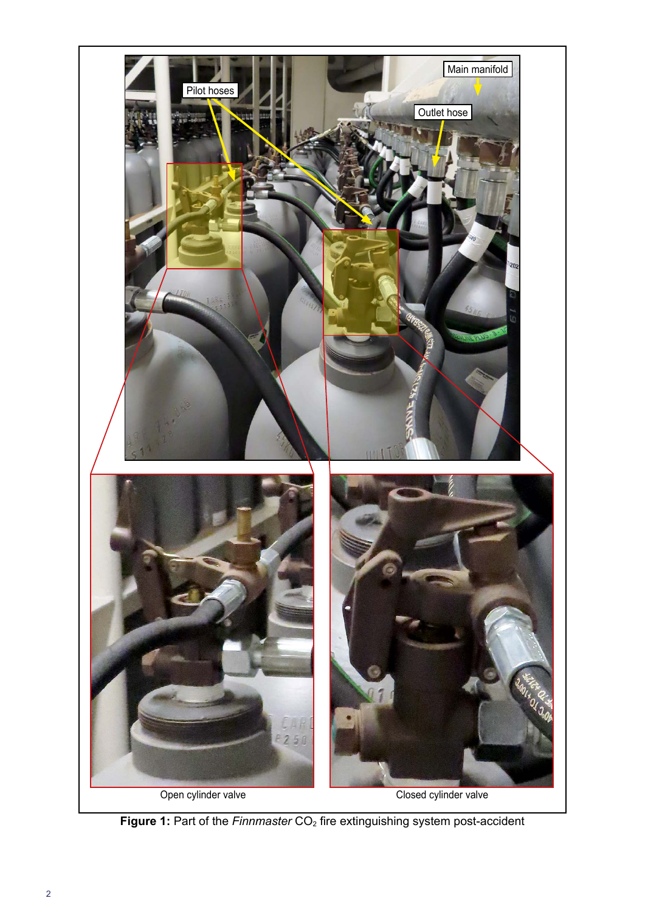

**Figure 1:** Part of the *Finnmaster* CO<sub>2</sub> fire extinguishing system post-accident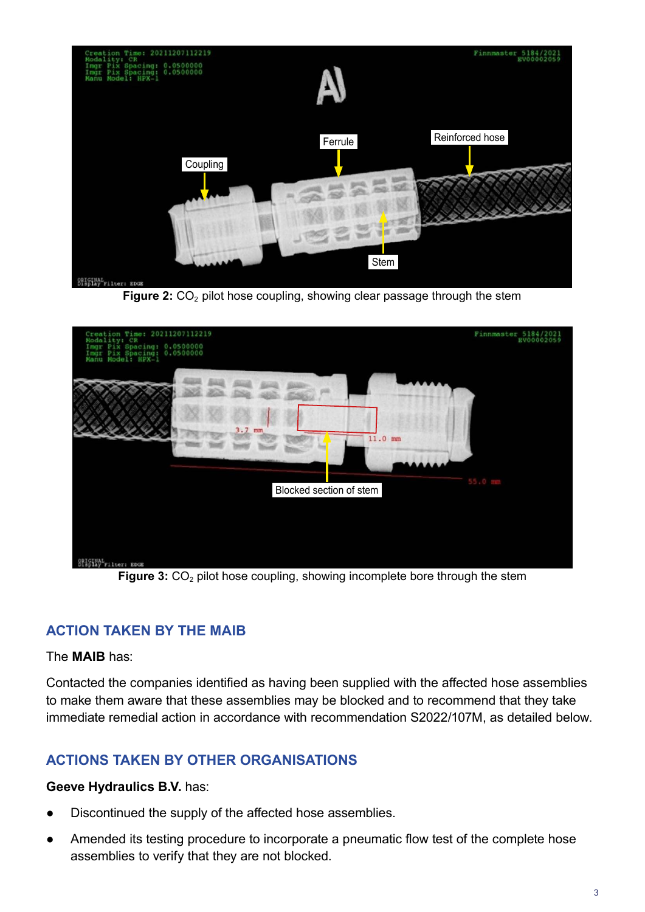

**Figure 2:** CO<sub>2</sub> pilot hose coupling, showing clear passage through the stem



**Figure 3:** CO<sub>2</sub> pilot hose coupling, showing incomplete bore through the stem

### **ACTION TAKEN BY THE MAIB**

#### The **MAIB** has:

Contacted the companies identifed as having been supplied with the afected hose assemblies to make them aware that these assemblies may be blocked and to recommend that they take immediate remedial action in accordance with recommendation S2022/107M, as detailed below.

### **ACTIONS TAKEN BY OTHER ORGANISATIONS**

#### **Geeve Hydraulics B.V.** has:

- Discontinued the supply of the affected hose assemblies.
- Amended its testing procedure to incorporate a pneumatic flow test of the complete hose assemblies to verify that they are not blocked.